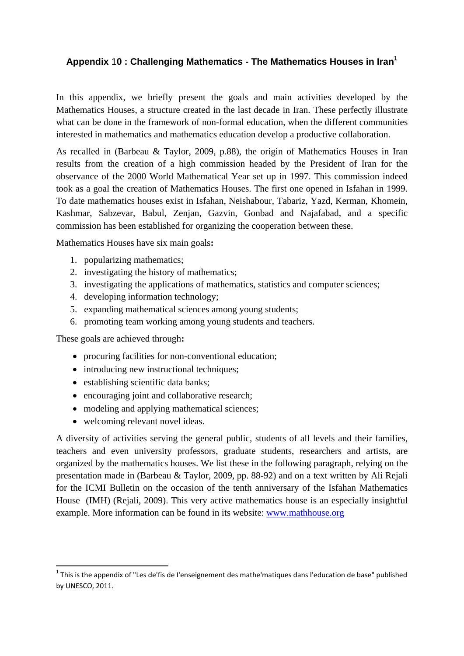## **Appendix** 1**0 : Challenging Mathematics - The Mathematics Houses in Iran1**

In this appendix, we briefly present the goals and main activities developed by the Mathematics Houses, a structure created in the last decade in Iran. These perfectly illustrate what can be done in the framework of non-formal education, when the different communities interested in mathematics and mathematics education develop a productive collaboration.

As recalled in (Barbeau & Taylor, 2009, p.88), the origin of Mathematics Houses in Iran results from the creation of a high commission headed by the President of Iran for the observance of the 2000 World Mathematical Year set up in 1997. This commission indeed took as a goal the creation of Mathematics Houses. The first one opened in Isfahan in 1999. To date mathematics houses exist in Isfahan, Neishabour, Tabariz, Yazd, Kerman, Khomein, Kashmar, Sabzevar, Babul, Zenjan, Gazvin, Gonbad and Najafabad, and a specific commission has been established for organizing the cooperation between these.

Mathematics Houses have six main goals**:** 

- 1. popularizing mathematics;
- 2. investigating the history of mathematics;
- 3. investigating the applications of mathematics, statistics and computer sciences;
- 4. developing information technology;
- 5. expanding mathematical sciences among young students;
- 6. promoting team working among young students and teachers.

These goals are achieved through**:** 

- procuring facilities for non-conventional education:
- introducing new instructional techniques;
- establishing scientific data banks;
- encouraging joint and collaborative research;
- modeling and applying mathematical sciences;
- welcoming relevant novel ideas.

A diversity of activities serving the general public, students of all levels and their families, teachers and even university professors, graduate students, researchers and artists, are organized by the mathematics houses. We list these in the following paragraph, relying on the presentation made in (Barbeau & Taylor, 2009, pp. 88-92) and on a text written by Ali Rejali for the ICMI Bulletin on the occasion of the tenth anniversary of the Isfahan Mathematics House (IMH) (Rejali, 2009). This very active mathematics house is an especially insightful example. More information can be found in its website: www.mathhouse.org

 $1$  This is the appendix of "Les de'fis de l'enseignement des mathe'matiques dans l'education de base" published by UNESCO, 2011.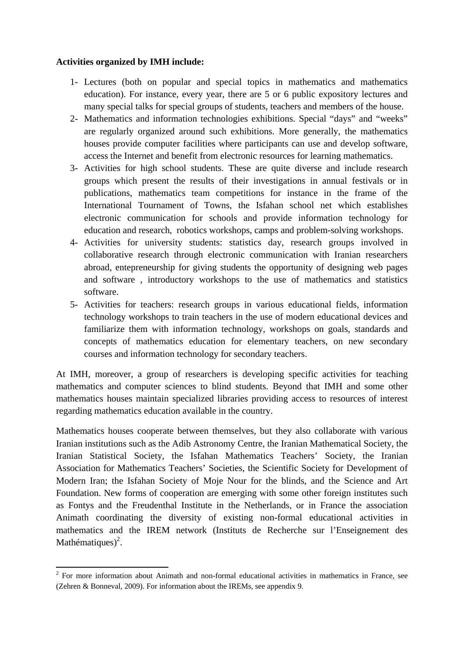## **Activities organized by IMH include:**

- 1- Lectures (both on popular and special topics in mathematics and mathematics education). For instance, every year, there are 5 or 6 public expository lectures and many special talks for special groups of students, teachers and members of the house.
- 2- Mathematics and information technologies exhibitions. Special "days" and "weeks" are regularly organized around such exhibitions. More generally, the mathematics houses provide computer facilities where participants can use and develop software, access the Internet and benefit from electronic resources for learning mathematics.
- 3- Activities for high school students. These are quite diverse and include research groups which present the results of their investigations in annual festivals or in publications, mathematics team competitions for instance in the frame of the International Tournament of Towns, the Isfahan school net which establishes electronic communication for schools and provide information technology for education and research, robotics workshops, camps and problem-solving workshops.
- 4- Activities for university students: statistics day, research groups involved in collaborative research through electronic communication with Iranian researchers abroad, entepreneurship for giving students the opportunity of designing web pages and software , introductory workshops to the use of mathematics and statistics software.
- 5- Activities for teachers: research groups in various educational fields, information technology workshops to train teachers in the use of modern educational devices and familiarize them with information technology, workshops on goals, standards and concepts of mathematics education for elementary teachers, on new secondary courses and information technology for secondary teachers.

At IMH, moreover, a group of researchers is developing specific activities for teaching mathematics and computer sciences to blind students. Beyond that IMH and some other mathematics houses maintain specialized libraries providing access to resources of interest regarding mathematics education available in the country.

Mathematics houses cooperate between themselves, but they also collaborate with various Iranian institutions such as the Adib Astronomy Centre, the Iranian Mathematical Society, the Iranian Statistical Society, the Isfahan Mathematics Teachers' Society, the Iranian Association for Mathematics Teachers' Societies, the Scientific Society for Development of Modern Iran; the Isfahan Society of Moje Nour for the blinds, and the Science and Art Foundation. New forms of cooperation are emerging with some other foreign institutes such as Fontys and the Freudenthal Institute in the Netherlands, or in France the association Animath coordinating the diversity of existing non-formal educational activities in mathematics and the IREM network (Instituts de Recherche sur l'Enseignement des Mathématiques $)^2$ .

<sup>&</sup>lt;sup>2</sup> For more information about Animath and non-formal educational activities in mathematics in France, see (Zehren & Bonneval, 2009). For information about the IREMs, see appendix 9.